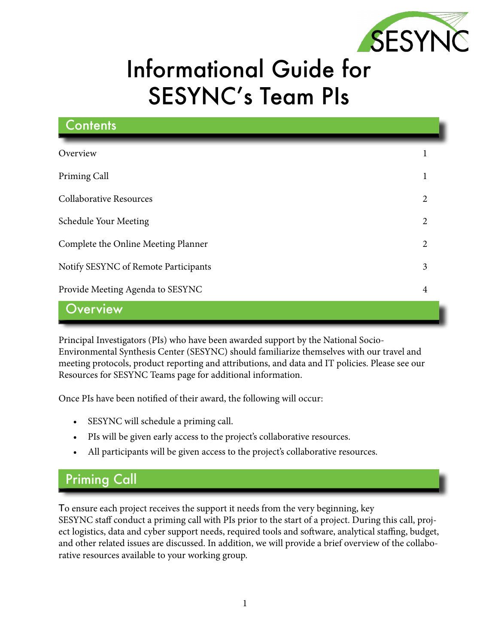

# Informational Guide for SESYNC's Team PIs

| <b>Contents</b>                      |                |
|--------------------------------------|----------------|
| Overview                             |                |
| Priming Call                         | 1              |
| <b>Collaborative Resources</b>       | $\overline{c}$ |
| Schedule Your Meeting                | $\overline{2}$ |
| Complete the Online Meeting Planner  | $\overline{2}$ |
| Notify SESYNC of Remote Participants | 3              |
| Provide Meeting Agenda to SESYNC     | $\overline{4}$ |
| Overview                             |                |

Principal Investigators (PIs) who have been awarded support by the National Socio-Environmental Synthesis Center (SESYNC) should familiarize themselves with our travel and meeting protocols, product reporting and attributions, and data and IT policies. Please see our Resources for SESYNC Teams page for additional information.

Once PIs have been notified of their award, the following will occur:

- SESYNC will schedule a priming call.
- PIs will be given early access to the project's collaborative resources.
- All participants will be given access to the project's collaborative resources.

#### Priming Call

To ensure each project receives the support it needs from the very beginning, key SESYNC staff conduct a priming call with PIs prior to the start of a project. During this call, project logistics, data and cyber support needs, required tools and software, analytical staffing, budget, and other related issues are discussed. In addition, we will provide a brief overview of the collaborative resources available to your working group.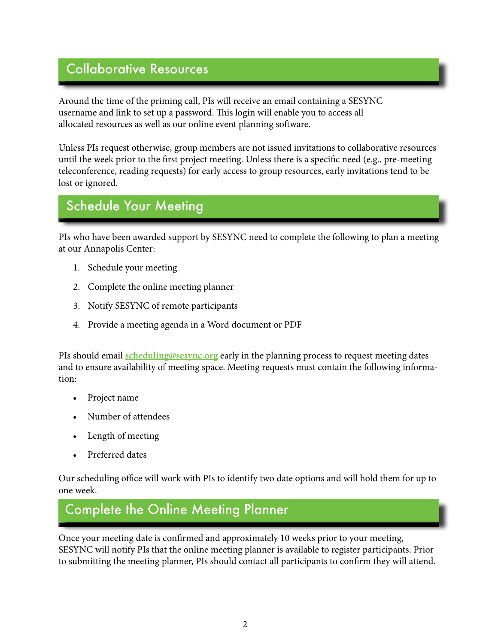#### <span id="page-1-0"></span>Collaborative Resources **Air**

Around the time of the priming call, PIs will receive an email containing a SESYNC username and link to set up a password. This login will enable you to access all allocated resources as well as our online event planning software.

Unless PIs request otherwise, group members are not issued invitations to collaborative resources until the week prior to the first project meeting. Unless there is a specific need (e.g., pre-meeting teleconference, reading requests) for early access to group resources, early invitations tend to be lost or ignored.

#### Schedule Your Meeting

PIs who have been awarded support by SESYNC need to complete the following to plan a meeting at our Annapolis Center:

- 1. Schedule your meeting
- 2. Complete the online meeting planner
- 3. Notify SESYNC of remote participants
- 4. Provide a meeting agenda in a Word document or PDF

PIs should email **[scheduling@sesync.org](mailto:scheduling%40sesync.org?subject=)** early in the planning process to request meeting dates and to ensure availability of meeting space. Meeting requests must contain the following information:

- Project name
- Number of attendees
- Length of meeting
- Preferred dates

Our scheduling office will work with PIs to identify two date options and will hold them for up to one week.

## Complete the Online Meeting Planner

Once your meeting date is confirmed and approximately 10 weeks prior to your meeting, SESYNC will notify PIs that the online meeting planner is available to register participants. Prior to submitting the meeting planner, PIs should contact all participants to confirm they will attend.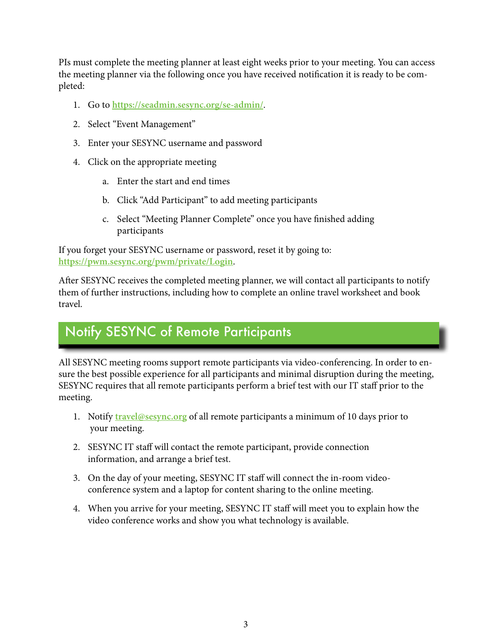<span id="page-2-0"></span>PIs must complete the meeting planner at least eight weeks prior to your meeting. You can access the meeting planner via the following once you have received notification it is ready to be completed:

- 1. Go to **<https://seadmin.sesync.org/se-admin/>**.
- 2. Select "Event Management"
- 3. Enter your SESYNC username and password
- 4. Click on the appropriate meeting
	- a. Enter the start and end times
	- b. Click "Add Participant" to add meeting participants
	- c. Select "Meeting Planner Complete" once you have finished adding participants

If you forget your SESYNC username or password, reset it by going to: **<https://pwm.sesync.org/pwm/private/Login>**.

After SESYNC receives the completed meeting planner, we will contact all participants to notify them of further instructions, including how to complete an online travel worksheet and book travel.

## Notify SESYNC of Remote Participants

All SESYNC meeting rooms support remote participants via video-conferencing. In order to ensure the best possible experience for all participants and minimal disruption during the meeting, SESYNC requires that all remote participants perform a brief test with our IT staff prior to the meeting.

- 1. Notify **[travel@sesync.org](mailto:travel%40sesync.org?subject=)** of all remote participants a minimum of 10 days prior to your meeting.
- 2. SESYNC IT staff will contact the remote participant, provide connection information, and arrange a brief test.
- 3. On the day of your meeting, SESYNC IT staff will connect the in-room videoconference system and a laptop for content sharing to the online meeting.
- 4. When you arrive for your meeting, SESYNC IT staff will meet you to explain how the video conference works and show you what technology is available.